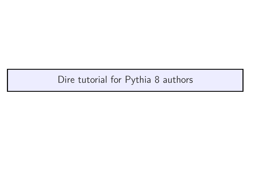## Dire tutorial for Pythia 8 authors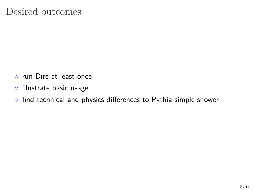- *◦* run Dire at least once
- *◦* illustrate basic usage
- *◦* find technical and physics differences to Pythia simple shower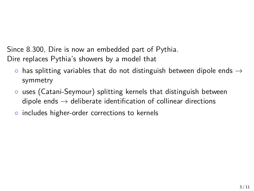Since 8.300, Dire is now an embedded part of Pythia. Dire replaces Pythia's showers by a model that

- *◦* has splitting variables that do not distinguish between dipole ends *→* symmetry
- *◦* uses (Catani-Seymour) splitting kernels that distinguish between dipole ends *→* deliberate identification of collinear directions
- *◦* includes higher-order corrections to kernels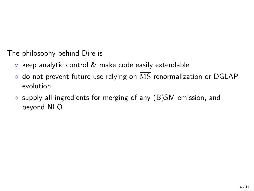The philosophy behind Dire is

- *◦* keep analytic control & make code easily extendable
- *◦* do not prevent future use relying on MS renormalization or DGLAP evolution
- *◦* supply all ingredients for merging of any (B)SM emission, and beyond NLO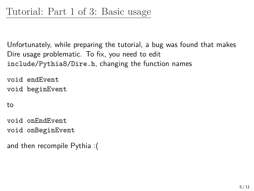Unfortunately, while preparing the tutorial, a bug was found that makes Dire usage problematic. To fix, you need to edit include/Pythia8/Dire.h, changing the function names

void endEvent void beginEvent

to

void onEndEvent void onBeginEvent

and then recompile Pythia :(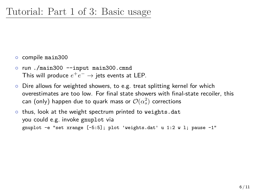*◦* compile main300

- *◦* run ./main300 --input main300.cmnd This will produce  $e^+e^- \rightarrow$  jets events at LEP.
- *◦* Dire allows for weighted showers, to e.g. treat splitting kernel for which overestimates are too low. For final state showers with final-state recoiler, this can (only) happen due to quark mass or  $\mathcal{O}(\alpha_s^2)$  corrections
- *◦* thus, look at the weight spectrum printed to weights.dat you could e.g. invoke gnuplot via gnuplot -e "set xrange [-5:5]; plot 'weights.dat' u 1:2 w l; pause -1"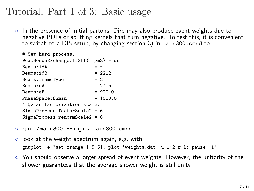# Tutorial: Part 1 of 3: Basic usage

*◦* In the presence of initial partons, Dire may also produce event weights due to negative PDFs or splitting kernels that turn negative. To test this, it is convenient to switch to a DIS setup, by changing section  $\overline{3}$ ) in main300.cmnd to

| # Set hard process.                   |            |
|---------------------------------------|------------|
| $WeakBosonExchange:ff2ff(t:gmZ) = on$ |            |
| Beams:idA                             | $= -11$    |
| Beams:idB                             | $= 2212$   |
| Beams:frameType                       | $= 2$      |
| Beams:eA                              | $= 27.5$   |
| Beams:eB                              | $= 920.0$  |
| PhaseSpace:Q2min                      | $= 1000.0$ |
| # Q2 as factorization scale.          |            |
| $SigmaProcess: factorScale2 = 6$      |            |
| $SigmaProcess:renormScale2 = 6$       |            |

- *◦* run ./main300 --input main300.cmnd
- *◦* look at the weight spectrum again, e.g. with gnuplot -e "set xrange [-5:5]; plot 'weights.dat' u 1:2 w l; pause -1"
- *◦* You should observe a larger spread of event weights. However, the unitarity of the shower guarantees that the average shower weight is still unity.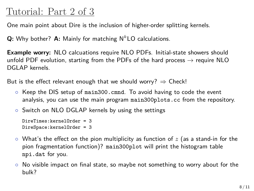## Tutorial: Part 2 of 3

One main point about Dire is the inclusion of higher-order splitting kernels.

**Q:** Why bother? **A:** Mainly for matching N*<sup>k</sup>* LO calculations.

**Example worry:** NLO calcuations require NLO PDFs. Initial-state showers should unfold PDF evolution, starting from the PDFs of the hard process *→* require NLO DGLAP kernels.

But is the effect relevant enough that we should worry? *⇒* Check!

- *◦* Keep the DIS setup of main300.cmnd. To avoid having to code the event analysis, you can use the main program main300plots.cc from the repository.
- *◦* Switch on NLO DGLAP kernels by using the settings

```
DireTimes:kernelOrder = 3
DireSpace:kernelOrder = 3
```
- *◦* What's the effect on the pion multiplicity as function of *z* (as a stand-in for the pion fragmentation function)? main300plot will print the histogram table npi.dat for you.
- *◦* No visible impact on final state, so maybe not something to worry about for the bulk?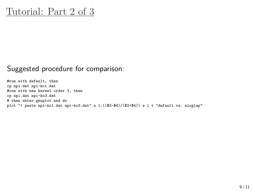### Tutorial: Part 2 of 3

#### Suggested procedure for comparison:

#run with default, then cp npi.dat npi-ko1.dat #run with new kernel order 3, then cp npi.dat npi-ko3.dat # then enter gnuplot and do plot "< paste npi-ko1.dat npi-ko3.dat" u 1:((\$2-\$4)/(\$2+\$4)) w l t "default vs. nloglap"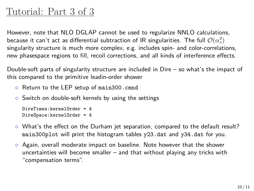## Tutorial: Part 3 of 3

However, note that NLO DGLAP cannot be used to regularize NNLO calculations, because it can't act as differential subtraction of IR singularities. The full  $\mathcal{O}(\alpha_s^2)$ singularity structure is much more complex, e.g. includes spin- and color-correlations, new phasespace regions to fill, recoil corrections, and all kinds of interference effects.

Double-soft parts of singularity structure are included in Dire – so what's the impact of this compared to the primitive leadin-order shower

- *◦* Return to the LEP setup of main300.cmnd
- *◦* Switch on double-soft kernels by using the settings

```
DireTimes:kernelOrder = 4
DireSpace:kernelOrder = 4
```
- *◦* What's the effect on the Durham jet separation, compared to the default result? main300plot will print the histogram tables y23.dat and y34.dat for you.
- *◦* Again, overall moderate impact on baseline. Note however that the shower uncertainties will become smaller – and that without playing any tricks with "compensation terms".